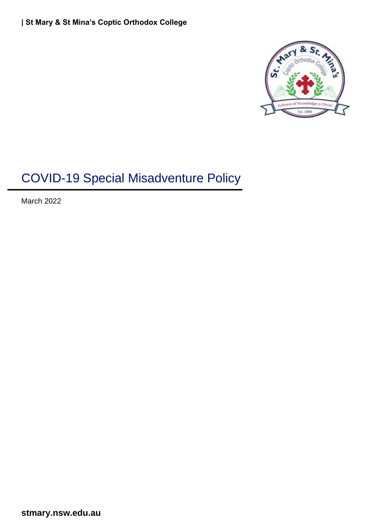

# COVID-19 Special Misadventure Policy

March 2022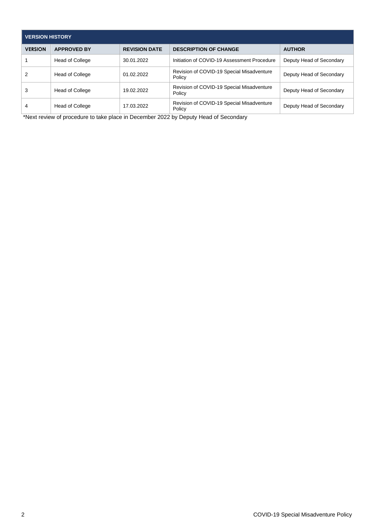| <b>VERSION HISTORY</b> |                        |                      |                                                     |                          |  |
|------------------------|------------------------|----------------------|-----------------------------------------------------|--------------------------|--|
| <b>VERSION</b>         | <b>APPROVED BY</b>     | <b>REVISION DATE</b> | <b>DESCRIPTION OF CHANGE</b>                        | <b>AUTHOR</b>            |  |
|                        | <b>Head of College</b> | 30.01.2022           | Initiation of COVID-19 Assessment Procedure         | Deputy Head of Secondary |  |
|                        | <b>Head of College</b> | 01.02.2022           | Revision of COVID-19 Special Misadventure<br>Policy | Deputy Head of Secondary |  |
| 3                      | <b>Head of College</b> | 19.02.2022           | Revision of COVID-19 Special Misadventure<br>Policy | Deputy Head of Secondary |  |
| 4                      | <b>Head of College</b> | 17.03.2022           | Revision of COVID-19 Special Misadventure<br>Policy | Deputy Head of Secondary |  |

\*Next review of procedure to take place in December 2022 by Deputy Head of Secondary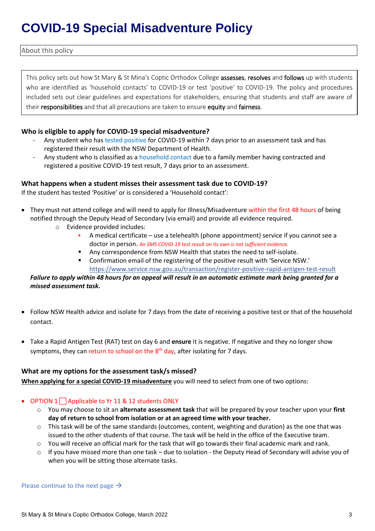## **COVID-19 Special Misadventure Policy**

About this policy

This policy sets out how St Mary & St Mina's Coptic Orthodox College assesses, resolves and follows up with students who are identified as 'household contacts' to COVID-19 or test 'positive' to COVID-19. The policy and procedures included sets out clear guidelines and expectations for stakeholders, ensuring that students and staff are aware of their responsibilities and that all precautions are taken to ensure equity and fairness.

#### **Who is eligible to apply for COVID-19 special misadventure?**

- Any student who has tested positive for COVID-19 within 7 days prior to an assessment task and has registered their result with the NSW Department of Health.
- Any student who is classified as a household contact due to a family member having contracted and registered a positive COVID-19 test result, 7 days prior to an assessment.

#### **What happens when a student misses their assessment task due to COVID-19?**

If the student has tested 'Positive' or is considered a 'Household contact':

- They must not attend college and will need to apply for Illness/Misadventure within the first 48 hours of being notified through the Deputy Head of Secondary (via email) and provide all evidence required.
	- o Evidence provided includes:
		- A medical certificate use a telehealth (phone appointment) service if you cannot see a doctor in person. *An SMS COVID-19 test result on its own is not sufficient evidence.*
		- Any correspondence from NSW Health that states the need to self-isolate.
		- Confirmation email of the registering of the positive result with 'Service NSW.' <https://www.service.nsw.gov.au/transaction/register-positive-rapid-antigen-test-result>

#### *Failure to apply within 48 hours for an appeal will result in an automatic estimate mark being granted for a missed assessment task.*

- Follow NSW Health advice and isolate for 7 days from the date of receiving a positive test or that of the household contact.
- Take a Rapid Antigen Test (RAT) test on day 6 and **ensure** it is negative. If negative and they no longer show symptoms, they can return to school on the  $8<sup>th</sup>$  day, after isolating for 7 days.

#### **What are my options for the assessment task/s missed?**

**When applying for a special COVID-19 misadventure** you will need to select from one of two options:

#### • OPTION  $1 \square$  Applicable to Yr 11 & 12 students ONLY

- o You may choose to sit an **alternate assessment task** that will be prepared by your teacher upon your **first day of return to school from isolation or at an agreed time with your teacher.**
- $\circ$  This task will be of the same standards (outcomes, content, weighting and duration) as the one that was issued to the other students of that course. The task will be held in the office of the Executive team.
- o You will receive an official mark for the task that will go towards their final academic mark and rank.
- $\circ$  If you have missed more than one task due to isolation the Deputy Head of Secondary will advise you of when you will be sitting those alternate tasks.

Please continue to the next page  $\rightarrow$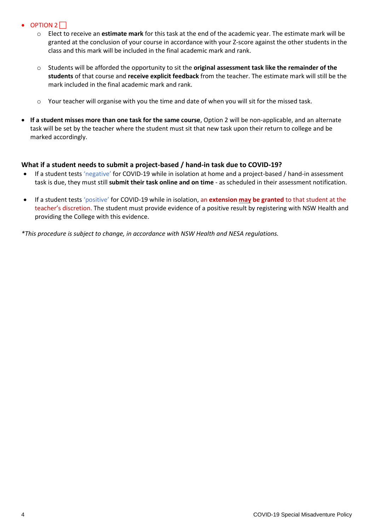- $\bullet$  OPTION 2
	- o Elect to receive an **estimate mark** for this task at the end of the academic year. The estimate mark will be granted at the conclusion of your course in accordance with your Z-score against the other students in the class and this mark will be included in the final academic mark and rank.
	- o Students will be afforded the opportunity to sit the **original assessment task like the remainder of the students** of that course and **receive explicit feedback** from the teacher. The estimate mark will still be the mark included in the final academic mark and rank.
	- o Your teacher will organise with you the time and date of when you will sit for the missed task.
- **If a student misses more than one task for the same course**, Option 2 will be non-applicable, and an alternate task will be set by the teacher where the student must sit that new task upon their return to college and be marked accordingly.

#### **What if a student needs to submit a project-based / hand-in task due to COVID-19?**

- If a student tests 'negative' for COVID-19 while in isolation at home and a project-based / hand-in assessment task is due, they must still **submit their task online and on time** - as scheduled in their assessment notification.
- If a student tests 'positive' for COVID-19 while in isolation, an **extension may be granted** to that student at the teacher's discretion. The student must provide evidence of a positive result by registering with NSW Health and providing the College with this evidence.

*\*This procedure is subject to change, in accordance with NSW Health and NESA regulations.*